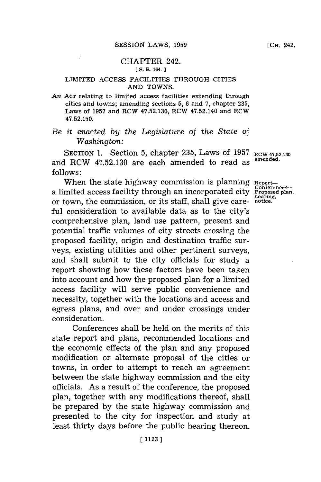## CHAPTER 242.

### **[ S. B. 164.]1**

### LIMITED **ACCESS** FACILITIES THROUGH CITIES **AND TOWNS.**

*AN* **ACT** relating to limited access facilities extending through cities and towns; amending sections **5, 6** and **7,** chapter **235,** Laws of **1957** and RCW **47.52.130,** RCW 47.52.140 and RCW **47.52.150.**

# *Be it enacted by the Legislature of the State of Washington:*

SEcTioN **1.** Section **5,** chapter **235,** Laws of **1957** RC **47.52.130** and RCW **47.52.130** are each amended to read as **amended. follows:**

When the state highway commission is planning Report-<br>mited access facility through an incorporated city Proposed plan,<br>the commission on its staff, shall give once having, a limited access facility through an incorporated city or town, the commission, or its staff, shall give care- **notice.** ful consideration to available data as to the city's comprehensive plan, land use pattern, present and potential traffic volumes of city streets crossing the proposed facility, origin and destination traffic surveys, existing utilities and other pertinent surveys, and shall submit to the city officials for study a report showing how these factors have been taken into account and how the proposed plan for a limited access facility will serve public convenience and necessity, together with the locations and access and egress plans, and over and under crossings under consideration.

Conferences shall be held on the merits of this state report and plans, recommended locations and the economic effects of the plan and any proposed modification or alternate proposal of the cities or towns, in order to attempt to reach an agreement between the state highway commission and the city officials. As a result of the conference, the proposed plan, together with any modifications thereof, shall be prepared **by** the state highway commission and presented to the city for inspection and study'at least thirty days before the public hearing thereon.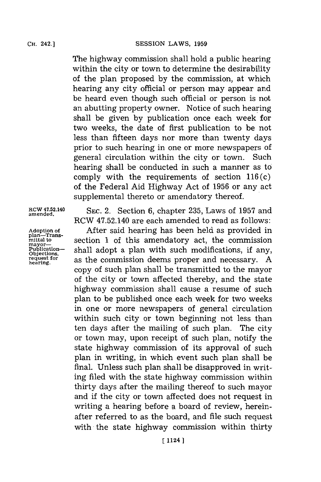The highway commission shall hold a public hearing within the city or town to determine the desirability of the plan proposed **by** the commission, at which hearing any city official or person may appear and be heard even though such official or person is not an abutting property owner. Notice of such hearing shall be given **by** publication once each week for two weeks, the date of first publication to be not less than fifteen days nor more than twenty days prior to such hearing in one or more newspapers of general circulation within the city or town. Such hearing shall be conducted in such a manner as to comply with the requirements of section  $116(c)$ of the Federal Aid Highway Act of **1956** or any act supplemental thereto or amendatory thereof.

**plan-Trans**mayor—<br>Publication-

ROW 47.52.140 **SEC.** 2. Section **6,** chapter **235,** Laws of **1957** and **amended.** RCW 47.52.140 are each amended to read as follows:

**Adoption of** After said hearing has been held as provided in section 1 of this amendatory act, the commission **Publication- chall adopt a plan with such modifications**, if any, **Objections**,  $\frac{\text{O}}{\text{triangle form}}$  as the commission deems proper and pecessary A request for as the commission deems proper and necessary. A copy of such plan shall be transmitted to the mayor of the city or town affected thereby, and the state highway commission shall cause a resume of such plan to be published once each week for two weeks in one or more newspapers of general circulation within such city or town beginning not less than ten days after the mailing of such plan. The city or town may, upon receipt of such plan, notify the state highway commission of its approval of such plan in writing, in which event such plan shall be final. Unless such plan shall be disapproved in writing filed with the state highway commission within thirty days after the mailing thereof to such mayor and if the city or town affected does not request in writing a hearing before a board of review, hereinafter referred to as the board, and file such request with the state highway commission within thirty